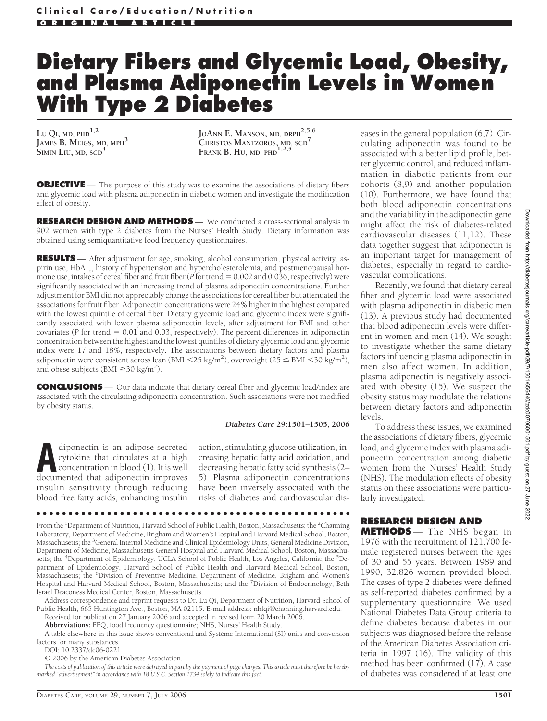# **Dietary Fibers and Glycemic Load, Obesity, and Plasma Adiponectin Levels in Women With Type 2 Diabetes**

**LU QI, MD, PHD1,2 JAMES B. MEIGS, MD, MPH<sup>3</sup> SIMIN LIU, MD, SCD<sup>4</sup>**

**JOANN E. MANSON, MD, DRPH2,5,6 CHRISTOS MANTZOROS, MD, SCD<sup>7</sup> FRANK B. HU, MD, PHD1,2,5**

**OBJECTIVE** — The purpose of this study was to examine the associations of dietary fibers and glycemic load with plasma adiponectin in diabetic women and investigate the modification effect of obesity.

**RESEARCH DESIGN AND METHODS** — We conducted a cross-sectional analysis in 902 women with type 2 diabetes from the Nurses' Health Study. Dietary information was obtained using semiquantitative food frequency questionnaires.

**RESULTS** — After adjustment for age, smoking, alcohol consumption, physical activity, aspirin use, HbA<sub>1c</sub>, history of hypertension and hypercholesterolemia, and postmenopausal hormone use, intakes of cereal fiber and fruit fiber (*P* for trend = 0.002 and 0.036, respectively) were significantly associated with an increasing trend of plasma adiponectin concentrations. Further adjustment for BMI did not appreciably change the associations for cereal fiber but attenuated the associations for fruit fiber. Adiponectin concentrations were 24% higher in the highest compared with the lowest quintile of cereal fiber. Dietary glycemic load and glycemic index were significantly associated with lower plasma adiponectin levels, after adjustment for BMI and other covariates ( $P$  for trend  $= 0.01$  and 0.03, respectively). The percent differences in adiponectin concentration between the highest and the lowest quintiles of dietary glycemic load and glycemic index were 17 and 18%, respectively. The associations between dietary factors and plasma adiponectin were consistent across lean (BMI <25 kg/m<sup>2</sup>), overweight (25  $\leq$  BMI <30 kg/m<sup>2</sup>), and obese subjects (BMI  $\geq$  30 kg/m<sup>2</sup>).

**CONCLUSIONS** — Our data indicate that dietary cereal fiber and glycemic load/index are associated with the circulating adiponectin concentration. Such associations were not modified by obesity status.

#### *Diabetes Care* **29:1501–1505, 2006**

diponectin is an adipose-secreted<br>cytokine that circulates at a high<br>concentration in blood (1). It is well<br>documented that adiponectin improves cytokine that circulates at a high concentration in blood (1). It is well documented that adiponectin improves insulin sensitivity through reducing blood free fatty acids, enhancing insulin

action, stimulating glucose utilization, increasing hepatic fatty acid oxidation, and decreasing hepatic fatty acid synthesis (2– 5). Plasma adiponectin concentrations have been inversely associated with the risks of diabetes and cardiovascular dis-

From the <sup>1</sup>Department of Nutrition, Harvard School of Public Health, Boston, Massachusetts; the <sup>2</sup>Channing Laboratory, Department of Medicine, Brigham and Women's Hospital and Harvard Medical School, Boston, Massachusetts; the <sup>3</sup>General Internal Medicine and Clinical Epidemiology Units, General Medicine Division, Department of Medicine, Massachusetts General Hospital and Harvard Medical School, Boston, Massachusetts; the <sup>4</sup>Department of Epidemiology, UCLA School of Public Health, Los Angeles, California; the <sup>5</sup>Department of Epidemiology, Harvard School of Public Health and Harvard Medical School, Boston, .<br>Massachusetts; the <sup>6</sup>Division of Preventive Medicine, Department of Medicine, Brigham and Women's Hospital and Harvard Medical School, Boston, Massachusetts; and the <sup>7</sup>Division of Endocrinology, Beth Israel Deaconess Medical Center, Boston, Massachusetts.

Address correspondence and reprint requests to Dr. Lu Qi, Department of Nutrition, Harvard School of Public Health, 665 Huntington Ave., Boston, MA 02115. E-mail address: nhlqi@channing.harvard.edu.

Received for publication 27 January 2006 and accepted in revised form 20 March 2006.

●●●●●●●●●●●●●●●●●●●●●●●●●●●●●●●●●●●●●●●●●●●●●●●●●

**Abbreviations:** FFQ, food frequency questionnaire; NHS, Nurses' Health Study.

A table elsewhere in this issue shows conventional and Système International (SI) units and conversion factors for many substances.

DOI: 10.2337/dc06-0221

© 2006 by the American Diabetes Association.

*The costs of publication of this article were defrayed in part by the payment of page charges. This article must therefore be hereby marked "advertisement" in accordance with 18 U.S.C. Section 1734 solely to indicate this fact.*

eases in the general population (6,7). Circulating adiponectin was found to be associated with a better lipid profile, better glycemic control, and reduced inflammation in diabetic patients from our cohorts (8,9) and another population (10). Furthermore, we have found that both blood adiponectin concentrations and the variability in the adiponectin gene might affect the risk of diabetes-related cardiovascular diseases (11,12). These data together suggest that adiponectin is an important target for management of diabetes, especially in regard to cardiovascular complications.

Recently, we found that dietary cereal fiber and glycemic load were associated with plasma adiponectin in diabetic men (13). A previous study had documented that blood adiponectin levels were different in women and men (14). We sought to investigate whether the same dietary factors influencing plasma adiponectin in men also affect women. In addition, plasma adiponectin is negatively associated with obesity (15). We suspect the obesity status may modulate the relations between dietary factors and adiponectin levels.

To address these issues, we examined the associations of dietary fibers, glycemic load, and glycemic index with plasma adiponectin concentration among diabetic women from the Nurses' Health Study (NHS). The modulation effects of obesity status on these associations were particularly investigated.

# **RESEARCH DESIGN AND**

**METHODS** — The NHS began in 1976 with the recruitment of 121,700 female registered nurses between the ages of 30 and 55 years. Between 1989 and 1990, 32,826 women provided blood. The cases of type 2 diabetes were defined as self-reported diabetes confirmed by a supplementary questionnaire. We used National Diabetes Data Group criteria to define diabetes because diabetes in our subjects was diagnosed before the release of the American Diabetes Association criteria in 1997 (16). The validity of this method has been confirmed (17). A case of diabetes was considered if at least one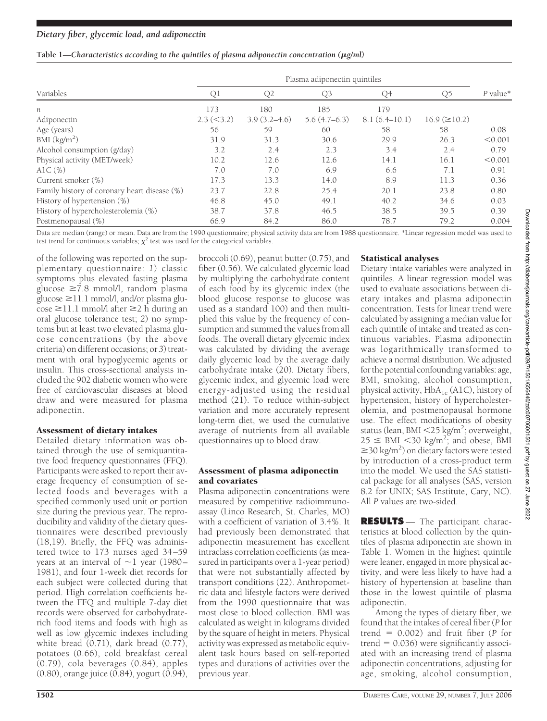## **Table 1—***Characteristics according to the quintiles of plasma adiponectin concentration (g/ml)*

|                                              | Plasma adiponectin quintiles |                  |                |               |                       |            |
|----------------------------------------------|------------------------------|------------------|----------------|---------------|-----------------------|------------|
| Variables                                    | Q1                           | Q2               | Q <sub>3</sub> | Q4            | Q5                    | $P$ value* |
| n                                            | 173                          | 180              | 185            | 179           |                       |            |
| Adiponectin                                  | $2.3 \approx (3.2)$          | $3.9(3.2 - 4.6)$ | $5.6(4.7-6.3)$ | 8.1(6.4–10.1) | $16.9 \, (\geq 10.2)$ |            |
| Age (years)                                  | 56                           | 59               | 60             | 58            | 58                    | 0.08       |
| BMI $(kg/m2)$                                | 31.9                         | 31.3             | 30.6           | 29.9          | 26.3                  | < 0.001    |
| Alcohol consumption (g/day)                  | 3.2                          | 2.4              | 2.3            | 3.4           | 2.4                   | 0.79       |
| Physical activity (MET/week)                 | 10.2                         | 12.6             | 12.6           | 14.1          | 16.1                  | < 0.001    |
| AlC $(\%)$                                   | 7.0                          | 7.0              | 6.9            | 6.6           | 7.1                   | 0.91       |
| Current smoker (%)                           | 17.3                         | 13.3             | 14.0           | 8.9           | 11.3                  | 0.36       |
| Family history of coronary heart disease (%) | 23.7                         | 22.8             | 25.4           | 20.1          | 23.8                  | 0.80       |
| History of hypertension (%)                  | 46.8                         | 45.0             | 49.1           | 40.2          | 34.6                  | 0.03       |
| History of hypercholesterolemia (%)          | 38.7                         | 37.8             | 46.5           | 38.5          | 39.5                  | 0.39       |
| Postmenopausal (%)                           | 66.9                         | 84.2             | 86.0           | 78.7          | 79.2                  | 0.004      |

Data are median (range) or mean. Data are from the 1990 questionnaire; physical activity data are from 1988 questionnaire. \*Linear regression model was used to test trend for continuous variables;  $\chi^2$  test was used for the categorical variables.

of the following was reported on the supplementary questionnaire: *1*) classic symptoms plus elevated fasting plasma glucose ≥7.8 mmol/l, random plasma glucose ≥11.1 mmol/l, and/or plasma glucose ≥11.1 mmol/l after ≥2 h during an oral glucose tolerance test; *2*) no symptoms but at least two elevated plasma glucose concentrations (by the above criteria) on different occasions; or *3*) treatment with oral hypoglycemic agents or insulin. This cross-sectional analysis included the 902 diabetic women who were free of cardiovascular diseases at blood draw and were measured for plasma adiponectin.

## Assessment of dietary intakes

Detailed dietary information was obtained through the use of semiquantitative food frequency questionnaires (FFQ). Participants were asked to report their average frequency of consumption of selected foods and beverages with a specified commonly used unit or portion size during the previous year. The reproducibility and validity of the dietary questionnaires were described previously (18,19). Briefly, the FFQ was administered twice to 173 nurses aged 34–59 years at an interval of  $\sim$ 1 year (1980– 1981), and four 1-week diet records for each subject were collected during that period. High correlation coefficients between the FFQ and multiple 7-day diet records were observed for carbohydraterich food items and foods with high as well as low glycemic indexes including white bread  $(0.71)$ , dark bread  $(0.77)$ , potatoes (0.66), cold breakfast cereal (0.79), cola beverages (0.84), apples (0.80), orange juice (0.84), yogurt (0.94),

broccoli (0.69), peanut butter (0.75), and fiber (0.56). We calculated glycemic load by multiplying the carbohydrate content of each food by its glycemic index (the blood glucose response to glucose was used as a standard 100) and then multiplied this value by the frequency of consumption and summed the values from all foods. The overall dietary glycemic index was calculated by dividing the average daily glycemic load by the average daily carbohydrate intake (20). Dietary fibers, glycemic index, and glycemic load were energy-adjusted using the residual method (21). To reduce within-subject variation and more accurately represent long-term diet, we used the cumulative average of nutrients from all available questionnaires up to blood draw.

### Assessment of plasma adiponectin and covariates

Plasma adiponectin concentrations were measured by competitive radioimmunoassay (Linco Research, St. Charles, MO) with a coefficient of variation of 3.4%. It had previously been demonstrated that adiponectin measurement has excellent intraclass correlation coefficients (as measured in participants over a 1-year period) that were not substantially affected by transport conditions (22). Anthropometric data and lifestyle factors were derived from the 1990 questionnaire that was most close to blood collection. BMI was calculated as weight in kilograms divided by the square of height in meters. Physical activity was expressed as metabolic equivalent task hours based on self-reported types and durations of activities over the previous year.

#### Statistical analyses

Dietary intake variables were analyzed in quintiles. A linear regression model was used to evaluate associations between dietary intakes and plasma adiponectin concentration. Tests for linear trend were calculated by assigning a median value for each quintile of intake and treated as continuous variables. Plasma adiponectin was logarithmically transformed to achieve a normal distribution. We adjusted for the potential confounding variables: age, BMI, smoking, alcohol consumption, physical activity,  $HbA_{1c}$  (A1C), history of hypertension, history of hypercholesterolemia, and postmenopausal hormone use. The effect modifications of obesity status (lean, BMI <25 kg/m<sup>2</sup>; overweight,  $25 \leq \text{BMI} \leq 30 \text{ kg/m}^2$ ; and obese, BMI  $\geq$  30 kg/m<sup>2</sup>) on dietary factors were tested by introduction of a cross-product term into the model. We used the SAS statistical package for all analyses (SAS, version 8.2 for UNIX; SAS Institute, Cary, NC). All *P* values are two-sided.

**RESULTS** — The participant characteristics at blood collection by the quintiles of plasma adiponectin are shown in Table 1. Women in the highest quintile were leaner, engaged in more physical activity, and were less likely to have had a history of hypertension at baseline than those in the lowest quintile of plasma adiponectin.

Among the types of dietary fiber, we found that the intakes of cereal fiber (*P* for trend  $= 0.002$ ) and fruit fiber (*P* for trend  $= 0.036$ ) were significantly associated with an increasing trend of plasma adiponectin concentrations, adjusting for age, smoking, alcohol consumption,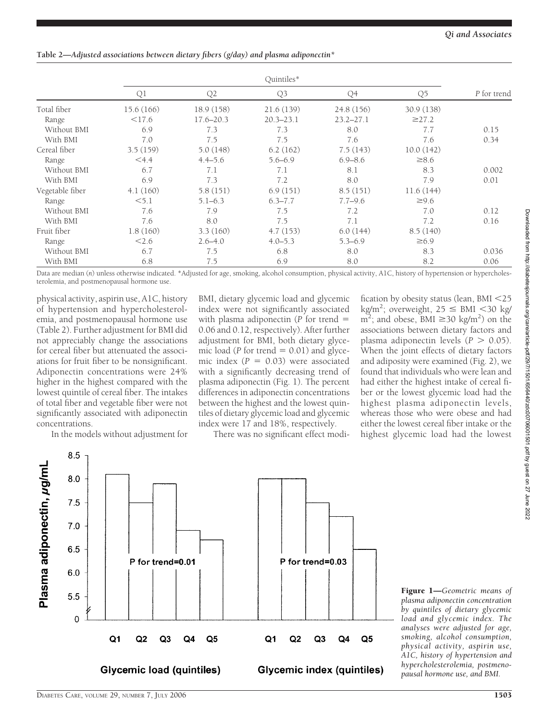# **Table 2—***Adjusted associations between dietary fibers (g/day) and plasma adiponectin\**

|                 | Q1         | Q2            | Q3            | Q <sub>4</sub> | Q <sub>5</sub> | P for trend |
|-----------------|------------|---------------|---------------|----------------|----------------|-------------|
| Total fiber     | 15.6 (166) | 18.9 (158)    | 21.6(139)     | 24.8 (156)     | 30.9 (138)     |             |
| Range           | $<$ 17.6   | $17.6 - 20.3$ | $20.3 - 23.1$ | $23.2 - 27.1$  | $\geq$ 27.2    |             |
| Without BMI     | 6.9        | 7.3           | 7.3           | 8.0            | 7.7            | 0.15        |
| With BMI        | 7.0        | 7.5           | 7.5           | 7.6            | 7.6            | 0.34        |
| Cereal fiber    | 3.5(159)   | 5.0(148)      | 6.2(162)      | 7.5(143)       | 10.0(142)      |             |
| Range           | $<$ 4.4    | $4.4 - 5.6$   | $5.6 - 6.9$   | $6.9 - 8.6$    | $\geq 8.6$     |             |
| Without BMI     | 6.7        | 7.1           | 7.1           | 8.1            | 8.3            | 0.002       |
| With BMI        | 6.9        | 7.3           | 7.2           | 8.0            | 7.9            | 0.01        |
| Vegetable fiber | 4.1(160)   | 5.8(151)      | 6.9(151)      | 8.5(151)       | 11.6(144)      |             |
| Range           | < 5.1      | $5.1 - 6.3$   | $6.3 - 7.7$   | $7.7 - 9.6$    | $\geq 9.6$     |             |
| Without BMI     | 7.6        | 7.9           | 7.5           | 7.2            | 7.0            | 0.12        |
| With BMI        | 7.6        | 8.0           | 7.5           | 7.1            | 7.2            | 0.16        |
| Fruit fiber     | 1.8(160)   | 3.3(160)      | 4.7(153)      | 6.0(144)       | 8.5(140)       |             |
| Range           | 2.6        | $2.6 - 4.0$   | $4.0 - 5.3$   | $5.3 - 6.9$    | $\geq 6.9$     |             |
| Without BMI     | 6.7        | 7.5           | 6.8           | 8.0            | 8.3            | 0.036       |
| With BMI        | 6.8        | 7.5           | 6.9           | 8.0            | 8.2            | 0.06        |

Data are median (n) unless otherwise indicated. \*Adjusted for age, smoking, alcohol consumption, physical activity, A1C, history of hypertension or hypercholesterolemia, and postmenopausal hormone use.

physical activity, aspirin use, A1C, history of hypertension and hypercholesterolemia, and postmenopausal hormone use (Table 2). Further adjustment for BMI did not appreciably change the associations for cereal fiber but attenuated the associations for fruit fiber to be nonsignificant. Adiponectin concentrations were 24% higher in the highest compared with the lowest quintile of cereal fiber. The intakes of total fiber and vegetable fiber were not significantly associated with adiponectin concentrations.

In the models without adjustment for

BMI, dietary glycemic load and glycemic index were not significantly associated with plasma adiponectin (*P* for trend 0.06 and 0.12, respectively). After further adjustment for BMI, both dietary glycemic load ( $P$  for trend  $= 0.01$ ) and glycemic index  $(P = 0.03)$  were associated with a significantly decreasing trend of plasma adiponectin (Fig. 1). The percent differences in adiponectin concentrations between the highest and the lowest quintiles of dietary glycemic load and glycemic index were 17 and 18%, respectively.

There was no significant effect modi-

fication by obesity status (lean, BMI <25  $\text{kg/m}^2$ ; overweight, 25  $\leq$  BMI  $\lt$ 30 kg/  $m^2$ ; and obese, BMI  $\geq$ 30 kg/m<sup>2</sup>) on the associations between dietary factors and plasma adiponectin levels  $(P > 0.05)$ . When the joint effects of dietary factors and adiposity were examined (Fig. 2), we found that individuals who were lean and had either the highest intake of cereal fiber or the lowest glycemic load had the highest plasma adiponectin levels, whereas those who were obese and had either the lowest cereal fiber intake or the highest glycemic load had the lowest



Figure 1—*Geometric means of plasma adiponectin concentration by quintiles of dietary glycemic load and glycemic index. The analyses were adjusted for age, smoking, alcohol consumption, physical activity, aspirin use, A1C, history of hypertension and hypercholesterolemia, postmenopausal hormone use, and BMI.*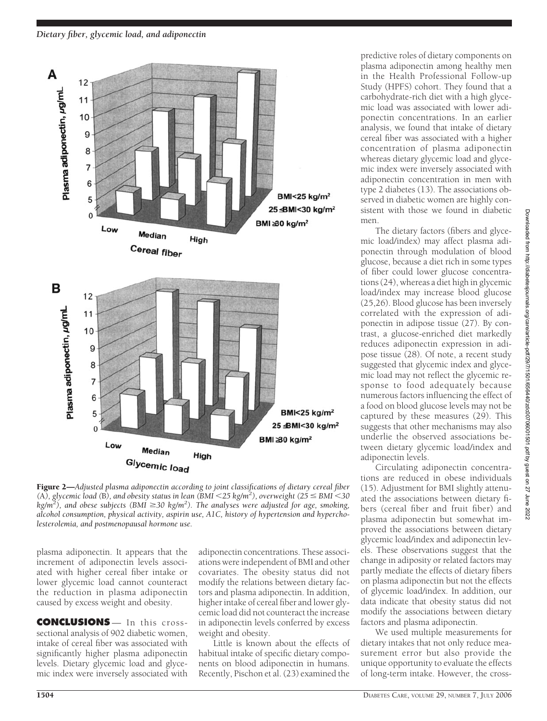

Figure 2—*Adjusted plasma adiponectin according to joint classifications of dietary cereal fiber*  $(A)$ , glycemic load  $(B)$ , and obesity status in lean  $(BMI < 25 \text{ kg/m}^2)$ , overweight  $(25 \leq BMI < 30$  $kg/m^2$ ), and obese subjects (BMI  $\geq$ 30 kg/m<sup>2</sup>). The analyses were adjusted for age, smoking, *alcohol consumption, physical activity, aspirin use, A1C, history of hypertension and hypercholesterolemia, and postmenopausal hormone use.*

plasma adiponectin. It appears that the increment of adiponectin levels associated with higher cereal fiber intake or lower glycemic load cannot counteract the reduction in plasma adiponectin caused by excess weight and obesity.

**CONCLUSIONS** — In this crosssectional analysis of 902 diabetic women, intake of cereal fiber was associated with significantly higher plasma adiponectin levels. Dietary glycemic load and glycemic index were inversely associated with

adiponectin concentrations. These associations were independent of BMI and other covariates. The obesity status did not modify the relations between dietary factors and plasma adiponectin. In addition, higher intake of cereal fiber and lower glycemic load did not counteract the increase in adiponectin levels conferred by excess weight and obesity.

Little is known about the effects of habitual intake of specific dietary components on blood adiponectin in humans. Recently, Pischon et al. (23) examined the

predictive roles of dietary components on plasma adiponectin among healthy men in the Health Professional Follow-up Study (HPFS) cohort. They found that a carbohydrate-rich diet with a high glycemic load was associated with lower adiponectin concentrations. In an earlier analysis, we found that intake of dietary cereal fiber was associated with a higher concentration of plasma adiponectin whereas dietary glycemic load and glycemic index were inversely associated with adiponectin concentration in men with type 2 diabetes (13). The associations observed in diabetic women are highly consistent with those we found in diabetic men.

The dietary factors (fibers and glycemic load/index) may affect plasma adiponectin through modulation of blood glucose, because a diet rich in some types of fiber could lower glucose concentrations (24), whereas a diet high in glycemic load/index may increase blood glucose (25,26). Blood glucose has been inversely correlated with the expression of adiponectin in adipose tissue (27). By contrast, a glucose-enriched diet markedly reduces adiponectin expression in adipose tissue (28). Of note, a recent study suggested that glycemic index and glycemic load may not reflect the glycemic response to food adequately because numerous factors influencing the effect of a food on blood glucose levels may not be captured by these measures (29). This suggests that other mechanisms may also underlie the observed associations between dietary glycemic load/index and adiponectin levels.

Circulating adiponectin concentrations are reduced in obese individuals (15). Adjustment for BMI slightly attenuated the associations between dietary fibers (cereal fiber and fruit fiber) and plasma adiponectin but somewhat improved the associations between dietary glycemic load/index and adiponectin levels. These observations suggest that the change in adiposity or related factors may partly mediate the effects of dietary fibers on plasma adiponectin but not the effects of glycemic load/index. In addition, our data indicate that obesity status did not modify the associations between dietary factors and plasma adiponectin.

We used multiple measurements for dietary intakes that not only reduce measurement error but also provide the unique opportunity to evaluate the effects of long-term intake. However, the cross